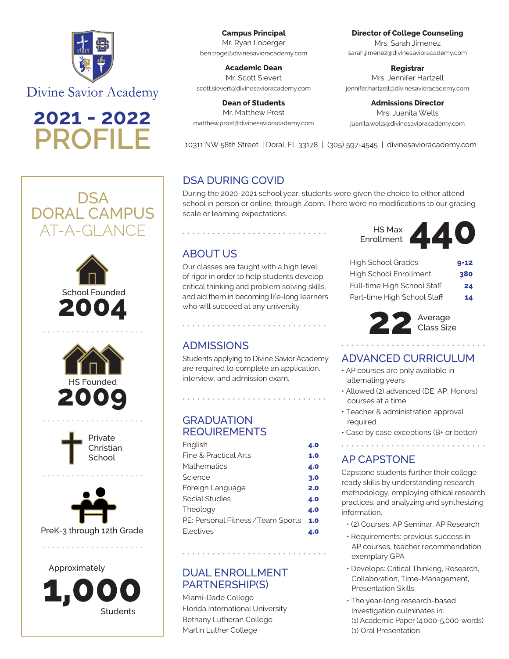

**Divine Savior Academy** 

**2021 - 2022**











Approximately **Students 1,000**

**Campus Principal** Mr. Ryan Loberger ben.troge@divinesavioracademy.com

**Academic Dean** Mr. Scott Sievert scott.sievert@divinesavioracademy.com

**Dean of Students** Mr. Matthew Prost matthew.prost@divinesavioracademy.com **Director of College Counseling**  Mrs. Sarah Jimenez

sarah.jimenez@divinesavioracademy.com

**Registrar**

Mrs. Jennifer Hartzell jennifer.hartzell@divinesavioracademy.com

**Admissions Director** Mrs. Juanita Wells juanita.wells@divinesavioracademy.com

**PROFILE** 10311 NW 58th Street | Doral, FL 33178 | (305) 597-4545 | divinesavioracademy.com

## DSA DURING COVID

During the 2020-2021 school year, students were given the choice to either attend school in person or online, through Zoom. There were no modifications to our grading scale or learning expectations.

# ABOUT US

Our classes are taught with a high level of rigor in order to help students develop critical thinking and problem solving skills, and aid them in becoming life-long learners who will succeed at any university.

### ADMISSIONS

Students applying to Divine Savior Academy are required to complete an application, interview, and admission exam.

#### **GRADUATION** REQUIREMENTS

| English                            | 4.0 |
|------------------------------------|-----|
| Fine & Practical Arts              | 1.0 |
| Mathematics                        | 4.0 |
| Science                            | 3.0 |
| Foreign Language                   | 2.0 |
| Social Studies                     | 4.0 |
| Theology                           | 4.0 |
| PE: Personal Fitness / Team Sports | 1.0 |
| Electives                          | 4.0 |
|                                    |     |

### DUAL ENROLLMENT PARTNERSHIP(S)

Miami-Dade College Florida International University Bethany Lutheran College Martin Luther College

| <b>HS Max</b><br>Enrollment |  |
|-----------------------------|--|
|-----------------------------|--|

| <b>High School Grades</b>   | $9 - 12$ |
|-----------------------------|----------|
| High School Enrollment      | 380      |
| Full-time High School Staff | 24       |
| Part-time High School Staff | 14       |



#### ADVANCED CURRICULUM

- AP courses are only available in alternating years
- Allowed (2) advanced (DE, AP, Honors) courses at a time
- Teacher & administration approval required
- Case by case exceptions (B+ or better)

### AP CAPSTONE

Capstone students further their college ready skills by understanding research methodology, employing ethical research practices, and analyzing and synthesizing information.

- (2) Courses: AP Seminar, AP Research
- Requirements: previous success in AP courses, teacher recommendation, exemplary GPA
- Develops: Critical Thinking, Research, Collaboration, Time-Management, Presentation Skills
- The year-long research-based investigation culminates in: (1) Academic Paper (4,000-5,000 words) (1) Oral Presentation